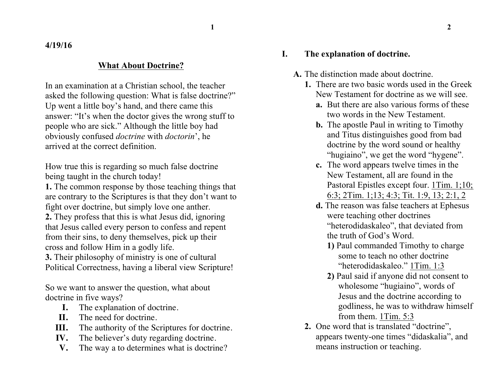**1 2**

**4/19/16**

### **What About Doctrine?**

In an examination at a Christian school, the teacher asked the following question: What is false doctrine?" Up went a little boy's hand, and there came this answer: "It's when the doctor gives the wrong stuff to people who are sick." Although the little boy had obviously confused *doctrine* with *doctorin*', he arrived at the correct definition.

How true this is regarding so much false doctrine being taught in the church today!

**1.** The common response by those teaching things that are contrary to the Scriptures is that they don't want to fight over doctrine, but simply love one anther.

**2.** They profess that this is what Jesus did, ignoring that Jesus called every person to confess and repent from their sins, to deny themselves, pick up their cross and follow Him in a godly life.

**3.** Their philosophy of ministry is one of cultural Political Correctness, having a liberal view Scripture!

So we want to answer the question, what about doctrine in five ways?

- **I.** The explanation of doctrine.
- **II.** The need for doctrine.
- **III.** The authority of the Scriptures for doctrine.
- **IV.** The believer's duty regarding doctrine.
- **V.** The way a to determines what is doctrine?

#### **I. The explanation of doctrine.**

- **A.** The distinction made about doctrine.
	- **1.** There are two basic words used in the Greek New Testament for doctrine as we will see.
		- **a.** But there are also various forms of these two words in the New Testament.
		- **b.** The apostle Paul in writing to Timothy and Titus distinguishes good from bad doctrine by the word sound or healthy "hugiaino", we get the word "hygene".
		- **c.** The word appears twelve times in the New Testament, all are found in the Pastoral Epistles except four. 1Tim. 1;10; 6:3; 2Tim. 1;13; 4:3; Tit. 1:9, 13; 2:1, 2
		- **d.** The reason was false teachers at Ephesus were teaching other doctrines "heterodidaskaleo", that deviated from the truth of God's Word.
			- **1)** Paul commanded Timothy to charge some to teach no other doctrine "heterodidaskaleo." 1Tim. 1:3
			- **2)** Paul said if anyone did not consent to wholesome "hugiaino", words of Jesus and the doctrine according to godliness, he was to withdraw himself from them. 1Tim. 5:3
	- **2.** One word that is translated "doctrine", appears twenty-one times "didaskalia", and means instruction or teaching.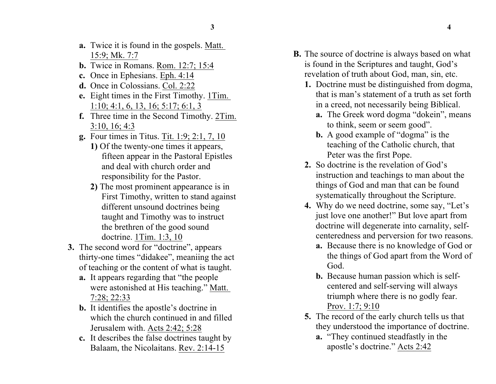- **a.** Twice it is found in the gospels. Matt. 15:9; Mk. 7:7
- **b.** Twice in Romans. Rom. 12:7; 15:4
- **c.** Once in Ephesians. Eph. 4:14
- **d.** Once in Colossians. Col. 2:22
- **e.** Eight times in the First Timothy. 1Tim. 1:10; 4:1, 6, 13, 16; 5:17; 6:1, 3
- **f.** Three time in the Second Timothy. 2Tim. 3:10, 16; 4:3
- **g.** Four times in Titus. Tit. 1:9; 2:1, 7, 10
	- **1)** Of the twenty-one times it appears, fifteen appear in the Pastoral Epistles and deal with church order and responsibility for the Pastor.
	- **2)** The most prominent appearance is in First Timothy, written to stand against different unsound doctrines being taught and Timothy was to instruct the brethren of the good sound doctrine. 1Tim. 1:3, 10
- **3.** The second word for "doctrine", appears thirty-one times "didakee", meaniing the act of teaching or the content of what is taught.
	- **a.** It appears regarding that "the people were astonished at His teaching." Matt. 7:28; 22:33
	- **b.** It identifies the apostle's doctrine in which the church continued in and filled Jerusalem with. Acts 2:42; 5:28
	- **c.** It describes the false doctrines taught by Balaam, the Nicolaitans. Rev. 2:14-15
- **B.** The source of doctrine is always based on what is found in the Scriptures and taught, God's revelation of truth about God, man, sin, etc.
	- **1.** Doctrine must be distinguished from dogma, that is man's statement of a truth as set forth in a creed, not necessarily being Biblical.
		- **a.** The Greek word dogma "dokein", means to think, seem or seem good".
		- **b.** A good example of "dogma" is the teaching of the Catholic church, that Peter was the first Pope.
	- **2.** So doctrine is the revelation of God's instruction and teachings to man about the things of God and man that can be found systematically throughout the Scripture.
	- **4.** Why do we need doctrine, some say, "Let's just love one another!" But love apart from doctrine will degenerate into carnality, selfcenteredness and perversion for two reasons.
		- **a.** Because there is no knowledge of God or the things of God apart from the Word of God.
		- **b.** Because human passion which is selfcentered and self-serving will always triumph where there is no godly fear. Prov. 1:7; 9:10
	- **5.** The record of the early church tells us that they understood the importance of doctrine.
		- **a.** "They continued steadfastly in the apostle's doctrine." Acts 2:42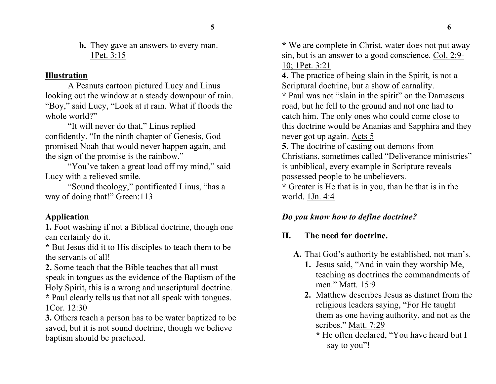**b.** They gave an answers to every man. 1Pet. 3:15

#### **Illustration**

A Peanuts cartoon pictured Lucy and Linus looking out the window at a steady downpour of rain. "Boy," said Lucy, "Look at it rain. What if floods the whole world?"

"It will never do that," Linus replied confidently. "In the ninth chapter of Genesis, God promised Noah that would never happen again, and the sign of the promise is the rainbow."

"You've taken a great load off my mind," said Lucy with a relieved smile.

"Sound theology," pontificated Linus, "has a way of doing that!" Green:113

## **Application**

**1.** Foot washing if not a Biblical doctrine, though one can certainly do it.

**\*** But Jesus did it to His disciples to teach them to be the servants of all!

**2.** Some teach that the Bible teaches that all must speak in tongues as the evidence of the Baptism of the Holy Spirit, this is a wrong and unscriptural doctrine.

**\*** Paul clearly tells us that not all speak with tongues. 1Cor. 12:30

**3.** Others teach a person has to be water baptized to be saved, but it is not sound doctrine, though we believe baptism should be practiced.

**\*** We are complete in Christ, water does not put away sin, but is an answer to a good conscience. Col. 2:9- 10; 1Pet. 3:21

**4.** The practice of being slain in the Spirit, is not a Scriptural doctrine, but a show of carnality.

**\*** Paul was not "slain in the spirit" on the Damascus road, but he fell to the ground and not one had to catch him. The only ones who could come close to this doctrine would be Ananias and Sapphira and they never got up again. Acts 5

**5.** The doctrine of casting out demons from Christians, sometimes called "Deliverance ministries" is unbiblical, every example in Scripture reveals possessed people to be unbelievers.

**\*** Greater is He that is in you, than he that is in the world. 1Jn. 4:4

## *Do you know how to define doctrine?*

## **II. The need for doctrine.**

- **A.** That God's authority be established, not man's.
	- **1.** Jesus said, "And in vain they worship Me, teaching as doctrines the commandments of men." Matt. 15:9
	- **2.** Matthew describes Jesus as distinct from the religious leaders saying, "For He taught them as one having authority, and not as the scribes." Matt. 7:29
		- **\*** He often declared, "You have heard but I say to you"!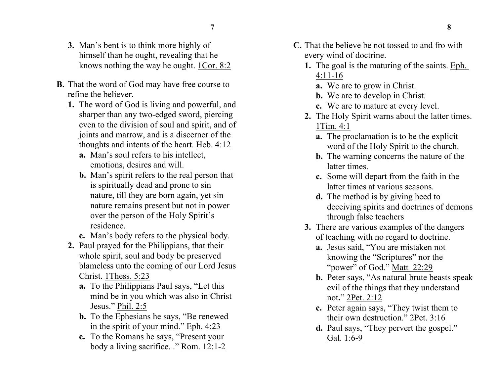- **7 8**
- **3.** Man's bent is to think more highly of himself than he ought, revealing that he knows nothing the way he ought. 1Cor. 8:2
- **B.** That the word of God may have free course to refine the believer.
	- **1.** The word of God is living and powerful, and sharper than any two-edged sword, piercing even to the division of soul and spirit, and of joints and marrow, and is a discerner of the thoughts and intents of the heart. Heb. 4:12
		- **a.** Man's soul refers to his intellect, emotions, desires and will.
		- **b.** Man's spirit refers to the real person that is spiritually dead and prone to sin nature, till they are born again, yet sin nature remains present but not in power over the person of the Holy Spirit's residence.
		- **c.** Man's body refers to the physical body.
	- **2.** Paul prayed for the Philippians, that their whole spirit, soul and body be preserved blameless unto the coming of our Lord Jesus Christ. 1Thess. 5:23
		- **a.** To the Philippians Paul says, "Let this mind be in you which was also in Christ Jesus." Phil. 2:5
		- **b.** To the Ephesians he says, "Be renewed in the spirit of your mind." Eph. 4:23
		- **c.** To the Romans he says, "Present your body a living sacrifice. ." Rom. 12:1-2
- **C.** That the believe be not tossed to and fro with every wind of doctrine.
	- **1.** The goal is the maturing of the saints. Eph. 4:11-16
		- **a.** We are to grow in Christ.
		- **b.** We are to develop in Christ.
		- **c.** We are to mature at every level.
	- **2.** The Holy Spirit warns about the latter times. 1Tim. 4:1
		- **a.** The proclamation is to be the explicit word of the Holy Spirit to the church.
		- **b.** The warning concerns the nature of the latter times.
		- **c.** Some will depart from the faith in the latter times at various seasons.
		- **d.** The method is by giving heed to deceiving spirits and doctrines of demons through false teachers
	- **3.** There are various examples of the dangers of teaching with no regard to doctrine.
		- **a.** Jesus said, "You are mistaken not knowing the "Scriptures" nor the "power" of God." Matt 22:29
		- **b.** Peter says, "As natural brute beasts speak evil of the things that they understand not**.**" 2Pet. 2:12
		- **c.** Peter again says, "They twist them to their own destruction." 2Pet. 3:16
		- **d.** Paul says, "They pervert the gospel." Gal. 1:6-9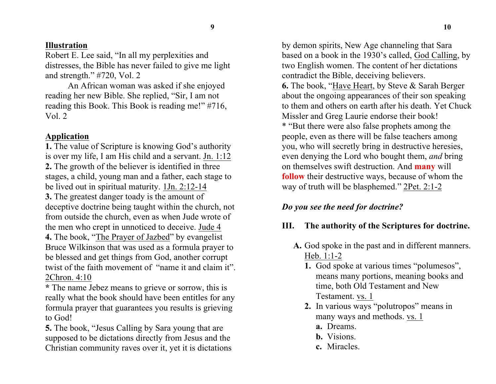#### **Illustration**

Robert E. Lee said, "In all my perplexities and distresses, the Bible has never failed to give me light and strength." #720, Vol. 2

An African woman was asked if she enjoyed reading her new Bible. She replied, "Sir, I am not reading this Book. This Book is reading me!" #716, Vol. 2

### **Application**

**1.** The value of Scripture is knowing God's authority is over my life, I am His child and a servant. Jn. 1:12 **2.** The growth of the believer is identified in three stages, a child, young man and a father, each stage to be lived out in spiritual maturity. 1Jn. 2:12-14 **3.** The greatest danger toady is the amount of deceptive doctrine being taught within the church, not from outside the church, even as when Jude wrote of the men who crept in unnoticed to deceive. Jude 4 **4.** The book, "The Prayer of Jazbed" by evangelist Bruce Wilkinson that was used as a formula prayer to be blessed and get things from God, another corrupt twist of the faith movement of "name it and claim it". 2Chron. 4:10

**\*** The name Jebez means to grieve or sorrow, this is really what the book should have been entitles for any formula prayer that guarantees you results is grieving to God!

**5.** The book, "Jesus Calling by Sara young that are supposed to be dictations directly from Jesus and the Christian community raves over it, yet it is dictations by demon spirits, New Age channeling that Sara based on a book in the 1930's called, God Calling, by two English women. The content of her dictations contradict the Bible, deceiving believers. **6.** The book, "Have Heart, by Steve & Sarah Berger about the ongoing appearances of their son speaking to them and others on earth after his death. Yet Chuck Missler and Greg Laurie endorse their book! \* "But there were also false prophets among the people, even as there will be false teachers among you, who will secretly bring in destructive heresies, even denying the Lord who bought them, *and* bring on themselves swift destruction. And **many** will **follow** their destructive ways, because of whom the way of truth will be blasphemed." 2Pet. 2:1-2

# *Do you see the need for doctrine?*

# **III. The authority of the Scriptures for doctrine.**

- **A.** God spoke in the past and in different manners. Heb. 1:1-2
	- **1.** God spoke at various times "polumesos", means many portions, meaning books and time, both Old Testament and New Testament. vs. 1
	- **2.** In various ways "polutropos" means in many ways and methods. vs. 1
		- **a.** Dreams.
		- **b.** Visions.
		- **c.** Miracles.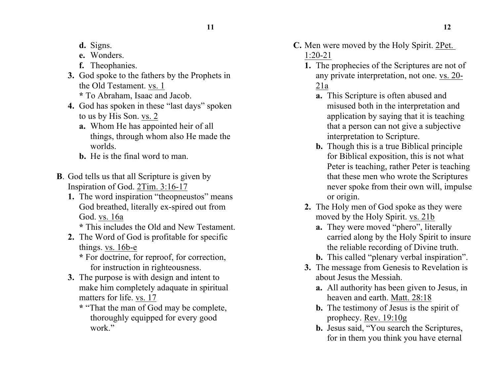**11 12**

- **d.** Signs.
- **e.** Wonders.
- **f.** Theophanies.
- **3.** God spoke to the fathers by the Prophets in the Old Testament. vs. 1 **\*** To Abraham, Isaac and Jacob.
- **4.** God has spoken in these "last days" spoken to us by His Son. vs. 2
	- **a.** Whom He has appointed heir of all things, through whom also He made the worlds.
	- **b.** He is the final word to man.
- **B**. God tells us that all Scripture is given by Inspiration of God. 2Tim. 3:16-17
	- **1.** The word inspiration "theopneustos" means God breathed, literally ex-spired out from God. vs. 16a
		- **\*** This includes the Old and New Testament.
	- **2.** The Word of God is profitable for specific things. vs. 16b-e
		- **\*** For doctrine, for reproof, for correction, for instruction in righteousness.
	- **3.** The purpose is with design and intent to make him completely adaquate in spiritual matters for life. vs. 17
		- **\*** "That the man of God may be complete, thoroughly equipped for every good work"

**C.** Men were moved by the Holy Spirit. 2Pet.

## 1:20-21

- **1.** The prophecies of the Scriptures are not of any private interpretation, not one. vs. 20- 21a
	- **a.** This Scripture is often abused and misused both in the interpretation and application by saying that it is teaching that a person can not give a subjective interpretation to Scripture.
	- **b.** Though this is a true Biblical principle for Biblical exposition, this is not what Peter is teaching, rather Peter is teaching that these men who wrote the Scriptures never spoke from their own will, impulse or origin.
- **2.** The Holy men of God spoke as they were moved by the Holy Spirit. vs. 21b
	- **a.** They were moved "phero", literally carried along by the Holy Spirit to insure the reliable recording of Divine truth.
	- **b.** This called "plenary verbal inspiration".
- **3.** The message from Genesis to Revelation is about Jesus the Messiah.
	- **a.** All authority has been given to Jesus, in heaven and earth. Matt. 28:18
	- **b.** The testimony of Jesus is the spirit of prophecy. Rev. 19:10g
	- **b.** Jesus said, "You search the Scriptures, for in them you think you have eternal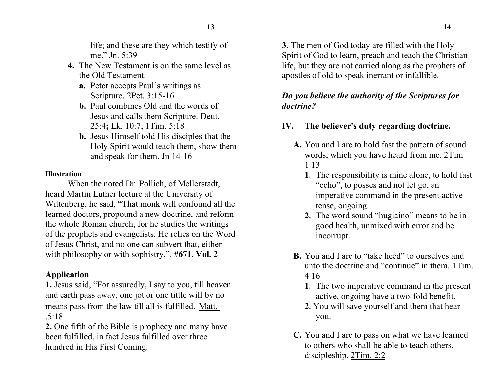life; and these are they which testify of me." Jn. 5:39

- **4.** The New Testament is on the same level as the Old Testament.
	- **a.** Peter accepts Paul's writings as Scripture. 2Pet. 3:15-16
	- **b.** Paul combines Old and the words of Jesus and calls them Scripture. Deut. 25:4**;** Lk. 10:7; 1Tim. 5:18
	- **b.** Jesus Himself told His disciples that the Holy Spirit would teach them, show them and speak for them. Jn 14-16

### **Illustration**

When the noted Dr. Pollich, of Mellerstadt, heard Martin Luther lecture at the University of Wittenberg, he said, "That monk will confound all the learned doctors, propound a new doctrine, and reform the whole Roman church, for he studies the writings of the prophets and evangelists. He relies on the Word of Jesus Christ, and no one can subvert that, either with philosophy or with sophistry.". **#671, Vol. 2**

## **Application**

**1.** Jesus said, "For assuredly, I say to you, till heaven and earth pass away, one jot or one tittle will by no means pass from the law till all is fulfilled. Matt. .5:18

**2.** One fifth of the Bible is prophecy and many have been fulfilled, in fact Jesus fulfilled over three hundred in His First Coming.

**3.** The men of God today are filled with the Holy Spirit of God to learn, preach and teach the Christian life, but they are not carried along as the prophets of apostles of old to speak inerrant or infallible.

## *Do you believe the authority of the Scriptures for doctrine?*

# **IV. The believer's duty regarding doctrine.**

- **A.** You and I are to hold fast the pattern of sound words, which you have heard from me. 2Tim 1:13
	- **1.** The responsibility is mine alone, to hold fast "echo", to posses and not let go, an imperative command in the present active tense, ongoing.
	- **2.** The word sound "hugiaino" means to be in good health, unmixed with error and be incorrupt.
- **B.** You and I are to "take heed" to ourselves and unto the doctrine and "continue" in them. 1Tim. 4:16
	- **1.** The two imperative command in the present active, ongoing have a two-fold benefit.
	- **2.** You will save yourself and them that hear you.
- **C.** You and I are to pass on what we have learned to others who shall be able to teach others, discipleship. 2Tim. 2:2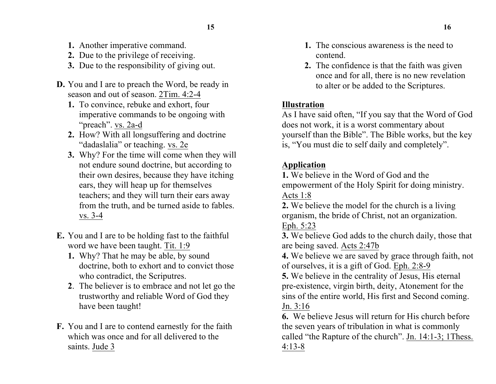- **1.** Another imperative command.
- **2.** Due to the privilege of receiving.
- **3.** Due to the responsibility of giving out.
- **D.** You and I are to preach the Word, be ready in season and out of season. 2Tim. 4:2-4
	- **1.** To convince, rebuke and exhort, four imperative commands to be ongoing with "preach". vs. 2a-d
	- **2.** How? With all longsuffering and doctrine "dadaslalia" or teaching. vs. 2e
	- **3.** Why? For the time will come when they will not endure sound doctrine, but according to their own desires, because they have itching ears, they will heap up for themselves teachers; and they will turn their ears away from the truth, and be turned aside to fables. vs. 3-4
- **E.** You and I are to be holding fast to the faithful word we have been taught. Tit. 1:9
	- **1.** Why? That he may be able, by sound doctrine, both to exhort and to convict those who contradict, the Scriputres.
	- **2**. The believer is to embrace and not let go the trustworthy and reliable Word of God they have been taught!
- **F.** You and I are to contend earnestly for the faith which was once and for all delivered to the saints. Jude 3
- **1.** The conscious awareness is the need to contend.
- **2.** The confidence is that the faith was given once and for all, there is no new revelation to alter or be added to the Scriptures.

## **Illustration**

As I have said often, "If you say that the Word of God does not work, it is a worst commentary about yourself than the Bible". The Bible works, but the key is, "You must die to self daily and completely".

## **Application**

**1.** We believe in the Word of God and the empowerment of the Holy Spirit for doing ministry. Acts 1:8

**2.** We believe the model for the church is a living organism, the bride of Christ, not an organization. Eph. 5:23

**3.** We believe God adds to the church daily, those that are being saved. Acts 2:47b

**4.** We believe we are saved by grace through faith, not of ourselves, it is a gift of God. Eph. 2:8-9

**5.** We believe in the centrality of Jesus, His eternal pre-existence, virgin birth, deity, Atonement for the sins of the entire world, His first and Second coming. Jn. 3:16

**6.** We believe Jesus will return for His church before the seven years of tribulation in what is commonly called "the Rapture of the church". Jn. 14:1-3; 1Thess. 4:13-8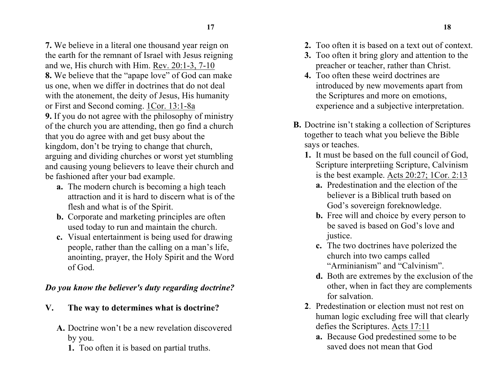**7.** We believe in a literal one thousand year reign on the earth for the remnant of Israel with Jesus reigning and we, His church with Him. Rev. 20:1-3, 7-10 **8.** We believe that the "apape love" of God can make us one, when we differ in doctrines that do not deal with the atonement, the deity of Jesus, His humanity or First and Second coming. 1Cor. 13:1-8a **9.** If you do not agree with the philosophy of ministry of the church you are attending, then go find a church that you do agree with and get busy about the kingdom, don't be trying to change that church, arguing and dividing churches or worst yet stumbling and causing young believers to leave their church and be fashioned after your bad example.

- **a.** The modern church is becoming a high teach attraction and it is hard to discern what is of the flesh and what is of the Spirit.
- **b.** Corporate and marketing principles are often used today to run and maintain the church.
- **c.** Visual entertainment is being used for drawing people, rather than the calling on a man's life, anointing, prayer, the Holy Spirit and the Word of God.

## *Do you know the believer's duty regarding doctrine?*

- **V. The way to determines what is doctrine?**
	- **A.** Doctrine won't be a new revelation discovered by you.
		- **1.** Too often it is based on partial truths.
- **2.** Too often it is based on a text out of context.
- **3.** Too often it bring glory and attention to the preacher or teacher, rather than Christ.
- **4.** Too often these weird doctrines are introduced by new movements apart from the Scriptures and more on emotions, experience and a subjective interpretation.
- **B.** Doctrine isn't staking a collection of Scriptures together to teach what you believe the Bible says or teaches.
	- **1.** It must be based on the full council of God, Scripture interpretiing Scripture, Calvinism is the best example. Acts 20:27; 1Cor. 2:13
		- **a.** Predestination and the election of the believer is a Biblical truth based on God's sovereign foreknowledge.
		- **b.** Free will and choice by every person to be saved is based on God's love and justice.
		- **c.** The two doctrines have polerized the church into two camps called "Arminianism" and "Calvinism".
		- **d.** Both are extremes by the exclusion of the other, when in fact they are complements for salvation.
	- **2**. Predestination or election must not rest on human logic excluding free will that clearly defies the Scriptures. Acts 17:11
		- **a.** Because God predestined some to be saved does not mean that God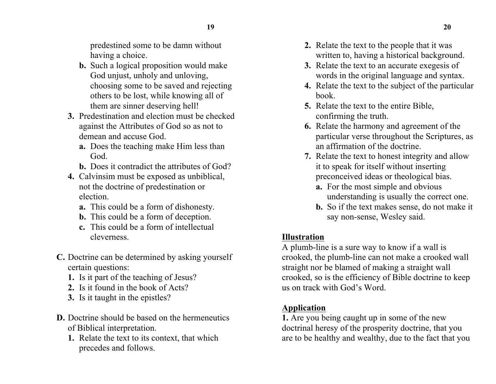predestined some to be damn without having a choice.

- **b.** Such a logical proposition would make God unjust, unholy and unloving, choosing some to be saved and rejecting others to be lost, while knowing all of them are sinner deserving hell!
- **3.** Predestination and election must be checked against the Attributes of God so as not to demean and accuse God.
	- **a.** Does the teaching make Him less than God.
	- **b.** Does it contradict the attributes of God?
- **4.** Calvinsim must be exposed as unbiblical, not the doctrine of predestination or election.
	- **a.** This could be a form of dishonesty.
	- **b.** This could be a form of deception.
	- **c.** This could be a form of intellectual cleverness.
- **C.** Doctrine can be determined by asking yourself certain questions:
	- **1.** Is it part of the teaching of Jesus?
	- **2.** Is it found in the book of Acts?
	- **3.** Is it taught in the epistles?
- **D.** Doctrine should be based on the hermeneutics of Biblical interpretation.
	- **1.** Relate the text to its context, that which precedes and follows.
- **2.** Relate the text to the people that it was written to, having a historical background.
- **3.** Relate the text to an accurate exegesis of words in the original language and syntax.
- **4.** Relate the text to the subject of the particular book.
- **5.** Relate the text to the entire Bible, confirming the truth.
- **6.** Relate the harmony and agreement of the particular verse throughout the Scriptures, as an affirmation of the doctrine.
- **7.** Relate the text to honest integrity and allow it to speak for itself without inserting preconceived ideas or theological bias.
	- **a.** For the most simple and obvious understanding is usually the correct one.
	- **b.** So if the text makes sense, do not make it say non-sense, Wesley said.

# **Illustration**

A plumb-line is a sure way to know if a wall is crooked, the plumb-line can not make a crooked wall straight nor be blamed of making a straight wall crooked, so is the efficiency of Bible doctrine to keep us on track with God's Word.

# **Application**

**1.** Are you being caught up in some of the new doctrinal heresy of the prosperity doctrine, that you are to be healthy and wealthy, due to the fact that you